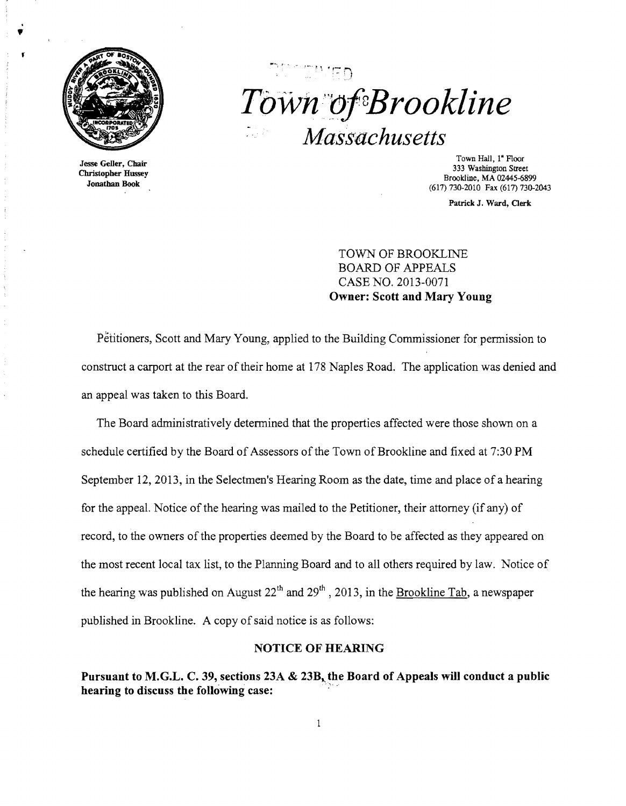

# $Town$  of Brookline *Massachusetts*

Town Hall, 1<sup>"</sup> Floor Town Hall, 1" Floor Jesse Geller, Chair 333 Washington Street 333 Washington Street 333 Washington Street Brookline, MA 02445-6899 Jonathan Book (617) 730-2010 Fax (617) 730-2043

Patrick J. Ward, Clerk

TOWN OF BROOKLINE BOARD OF APPEALS CASE NO. 2013-0071 Owner: Scott and Mary Young

Petitioners, Scott and Mary Young, applied to the Building Commissioner for permission to construct a carport at the rear of their home at 178 Naples Road. The application was denied and an appeal was taken to this Board.

The Board administratively detennined that the properties affected were those shown on a schedule certified by the Board of Assessors of the Town of Brookline and fixed at 7:30 PM September 12, 2013, in the Selectmen's Hearing Room as the date, time and place of a hearing for the appeal. Notice of the hearing was mailed to the Petitioner, their attorney (if any) of record, to the owners of the properties deemed by the Board to be affected as they appeared on the most recent local tax list, to the Planning Board and to all others required by law. Notice of the hearing was published on August  $22<sup>th</sup>$  and  $29<sup>th</sup>$ , 2013, in the Brookline Tab, a newspaper published in Brookline. A copy of said notice is as follows:

### NOTICE OF HEARING

Pursuant to M.G.L. C. 39, sections 23A & 23B, the Board of Appeals will conduct a public hearing to discuss the following case: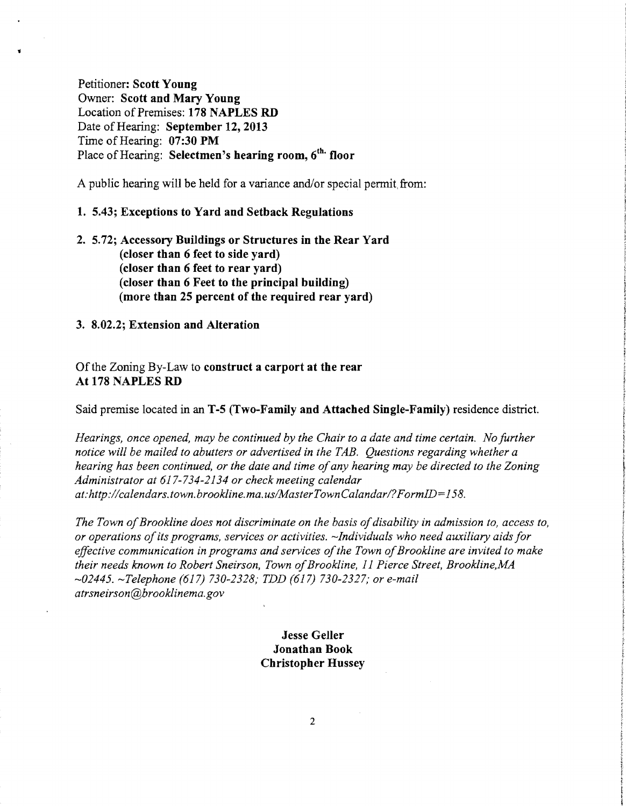Petitioner: **Scott Young**  Owner: **Scott and Mary Young**  Location of Premises: **178 NAPLES RD**  Date of Hearing: **September 12, 2013** Time of Hearing: 07:30 PM Place of Hearing: **Selectmen's hearing room, 6<sup>th.</sup> floor** 

A public hearing will be held for a variance and/or special permit, from:

### **1. 5.43; Exceptions to Yard and Setback Regulations**

**2. 5.72; Accessory Buildings or Structures in the Rear Yard (closer than 6 feet to side yard) (closer than 6 feet to rear yard) (closer than 6 Feet to the principal building) (more than 25 percent of the required rear yard)** 

**3. 8.02.2; Extension and Alteration** 

Ofthe Zoning By-Law to **construct a carport at the rear At 178 NAPLES RD** 

Said premise located in an **T-5 (Two-Family and Attached Single-Family)** residence district.

*Hearings, once opened, may be continued by the Chair to a date and time certain. No further notice will be mailed to abutters or advertised in the TAB. Questions regarding whether a hearing has been continued, or the date and time ofany hearing may be directed to the Zoning Administrator at* 617-734-2134 *or check meeting calendar at:http://calendars.town.brookline.ma.us/MasterTownCalandarl?FormID=158.* 

*The Town of Brookline does not discriminate on the basis of disability in admission to, access to, or operations ofits programs, services or activities. -Individuals who need auxiliary aids for*  effective communication in programs and services of the Town of Brookline are invited to make *their needs known to Robert Sneirson, Town ofBrookline,* 11 *Pierce Street, Brookline,MA -02445. -Telephone* (617) *730-2328; TDD* (617) *730-2327; or e-mail atrsneirson@brooklinema.gov* 

## **Jesse Geller Jonathan Book Christopher Hussey**

2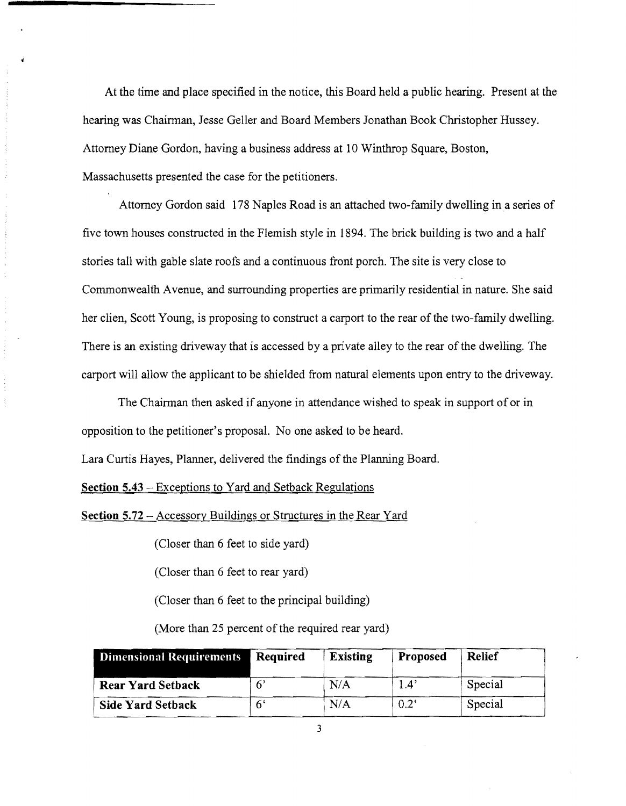At the time and place specified in the notice, this Board held a public hearing. Present at the hearing was Chairman, Jesse Geller and Board Members Jonathan Book Christopher Hussey. Attorney Diane Gordon, having a business address at 10 Winthrop Square, Boston, Massachusetts presented the case for the petitioners.

Attorney Gordon said 178 Naples Road is an attached two-family dwelling in a series of five town houses constructed in the Flemish style in 1894. The brick building is two and a half stories tall with gable slate roofs and a continuous front porch. The site is very close to Commonwealth Avenue, and surrounding properties are primarily residential in nature. She said her clien, Scott Young, is proposing to construct a carport to the rear of the two-family dwelling. There is an existing driveway that is accessed by a private alley to the rear of the dwelling. The carport will allow the applicant to be shielded from natural elements upon entry to the driveway.

The Chairman then asked if anyone in attendance wished to speak in support of or in opposition to the petitioner's proposal. No one asked to be heard.

Lara Curtis Hayes, Planner, delivered the findings of the Planning Board.

**Section 5.43** - Exceptions to Yard and Setback Regulations

**Section 5.72** - Accessory Buildings or Structures in the Rear Yard

(Closer than 6 feet to side yard)

(Closer than 6 feet to rear yard)

(Closer than 6 feet to the principal building)

(More than 25 percent of the required rear yard)

| <b>Dimensional Requirements</b> | Required | <b>Existing</b> | Proposed      | <b>Relief</b> |
|---------------------------------|----------|-----------------|---------------|---------------|
| <b>Rear Yard Setback</b>        |          | N/A             | 1.4'          | Special       |
| <b>Side Yard Setback</b>        |          | N/A             | $0.2^{\circ}$ | Special       |

3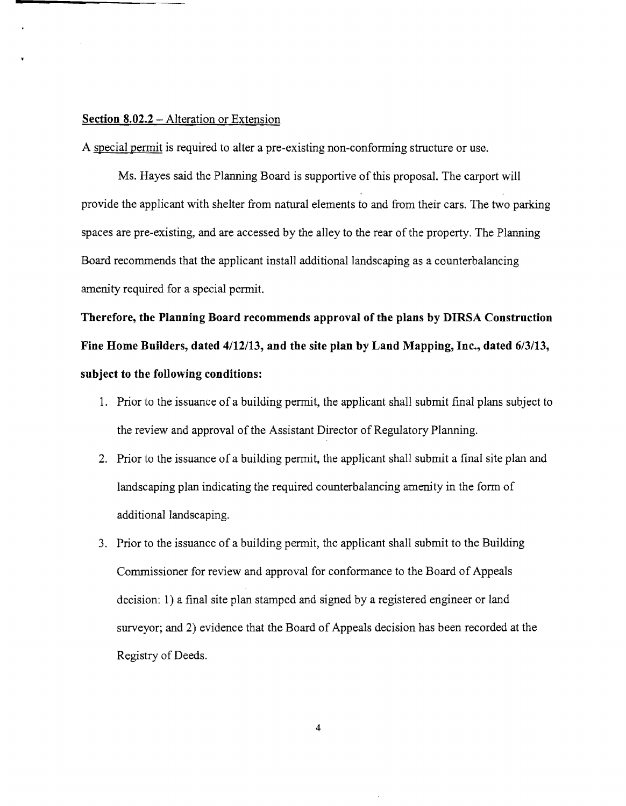### **Section 8.02.2** - Alteration or Extension

A special permit is required to alter a pre-existing non-conforming structure or use.

Ms. Hayes said the Planning Board is supportive of this proposal. The carport will provide the applicant with shelter from natural elements to and from their cars. The two parking spaces are pre-existing, and are accessed by the alley to the rear of the property. The Planning Board recommends that the applicant install additional landscaping as a counterbalancing amenity required for a special permit.

Therefore, the Planning Board recommends approval of the plans by DIRSA Construction **Fine Home Builders, dated** 4112/13, **and the site plan by Land Mapping, Inc., dated** 6/3/13, **subject to the following conditions:** 

- 1. Prior to the issuance of a building permit, the applicant shall submit final plans subject to the review and approval of the Assistant Director of Regulatory Planning.
- 2. Prior to the issuance of a building permit, the applicant shall submit a final site plan and landscaping plan indicating the required counterbalancing amenity in the form of additional landscaping.
- 3. Prior to the issuance of a building permit, the applicant shall submit to the Building Commissioner for review and approval for conformance to the Board of Appeals decision: I) a final site plan stamped and signed by a registered engineer or land surveyor; and 2) evidence that the Board of Appeals decision has been recorded at the Registry of Deeds.

4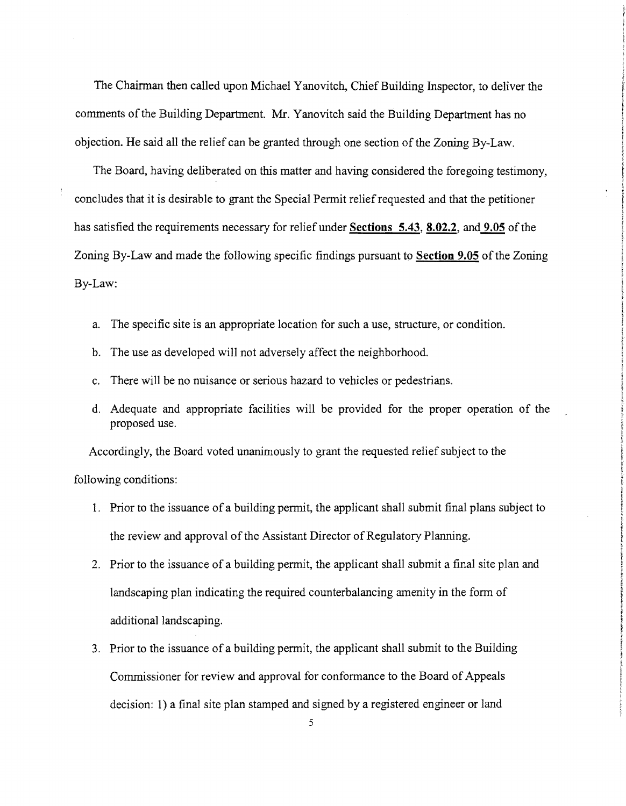The Chairman then called upon Michael Yanovitch, Chief Building Inspector, to deliver the comments of the Building Department. Mr. Yanovitch said the Building Department has no objection. He said all the relief can be granted through one section of the Zoning By-Law.

The Board, having deliberated on this matter and having considered the foregoing testimony, concludes that it is desirable to grant the Special Permit relief requested and that the petitioner has satisfied the requirements necessary for relief under Sections 5.43, 8.02.2, and 9.05 of the Zoning By-Law and made the following specific findings pursuant to Section 9.05 of the Zoning By-Law:

- a. The specific site is an appropriate location for such a use, structure, or condition.
- b. The use as developed will not adversely affect the neighborhood.
- c. There will be no nuisance or serious hazard to vehicles or pedestrians.
- d. Adequate and appropriate facilities will be provided for the proper operation of the proposed use.

Accordingly, the Board voted unanimously to grant the requested relief subject to the following conditions:

- 1. Prior to the issuance of a building permit, the applicant shall submit final plans subject to the review and approval of the Assistant Director of Regulatory Planning.
- 2. Prior to the issuance of a building permit, the applicant shall submit a final site plan and landscaping plan indicating the required counterbalancing amenity in the form of additional landscaping.
- 3. Prior to the issuance of a building permit, the applicant shall submit to the Building Commissioner for review and approval for conformance to the Board of Appeals decision: 1) a final site plan stamped and signed by a registered engineer or land